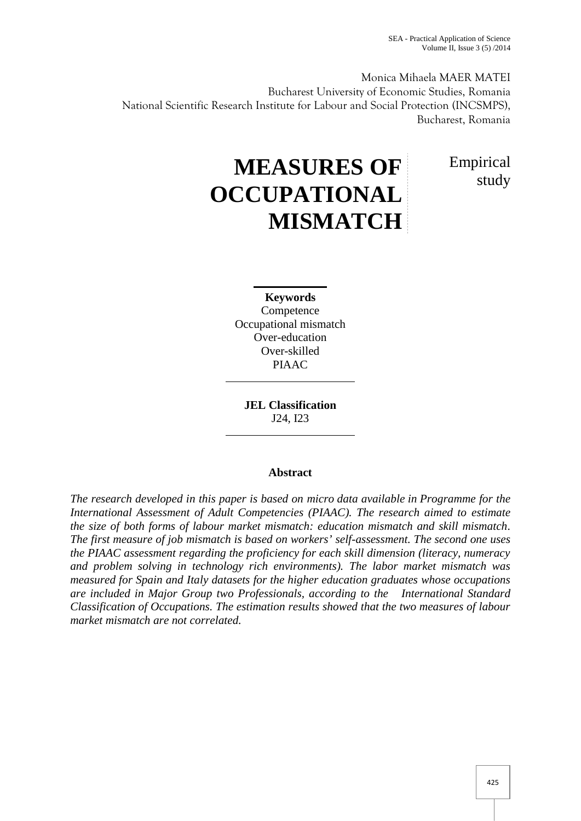Monica Mihaela MAER MATEI Bucharest University of Economic Studies, Romania National Scientific Research Institute for Labour and Social Protection (INCSMPS), Bucharest, Romania

> Empirical study

# **MEASURES OF OCCUPATIONAL MISMATCH**

**Keywords** Competence Occupational mismatch Over-education Over-skilled PIAAC

**JEL Classification** J24, I23

# **Abstract**

*The research developed in this paper is based on micro data available in Programme for the International Assessment of Adult Competencies (PIAAC). The research aimed to estimate the size of both forms of labour market mismatch: education mismatch and skill mismatch. The first measure of job mismatch is based on workers' self-assessment. The second one uses the PIAAC assessment regarding the proficiency for each skill dimension (literacy, numeracy and problem solving in technology rich environments). The labor market mismatch was measured for Spain and Italy datasets for the higher education graduates whose occupations are included in Major Group two Professionals, according to the International Standard Classification of Occupations. The estimation results showed that the two measures of labour market mismatch are not correlated.*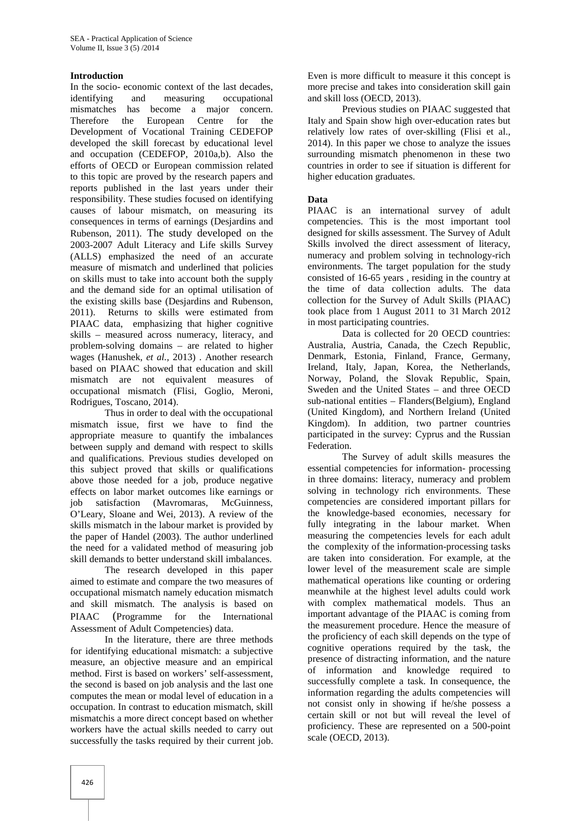## **Introduction**

In the socio- economic context of the last decades, identifying and measuring occupational mismatches has become a major concern. Therefore the European Centre for the Development of Vocational Training CEDEFOP developed the skill forecast by educational level and occupation (CEDEFOP, 2010a,b). Also the efforts of OECD or European commission related to this topic are proved by the research papers and reports published in the last years under their responsibility. These studies focused on identifying causes of labour mismatch, on measuring its consequences in terms of earnings (Desjardins and Rubenson, 2011). The study developed on the 2003-2007 Adult Literacy and Life skills Survey (ALLS) emphasized the need of an accurate measure of mismatch and underlined that policies on skills must to take into account both the supply and the demand side for an optimal utilisation of the existing skills base (Desjardins and Rubenson, 2011). Returns to skills were estimated from PIAAC data, emphasizing that higher cognitive skills – measured across numeracy, literacy, and problem-solving domains – are related to higher wages (Hanushek, et al., 2013) . Another research based on PIAAC showed that education and skill mismatch are not equivalent measures of occupational mismatch (Flisi, Goglio, Meroni, Rodrigues, Toscano, 2014).

Thus in order to deal with the occupational mismatch issue, first we have to find the appropriate measure to quantify the imbalances between supply and demand with respect to skills and qualifications. Previous studies developed on this subject proved that skills or qualifications above those needed for a job, produce negative effects on labor market outcomes like earnings or job satisfaction (Mavromaras, McGuinness, O'Leary, Sloane and Wei, 2013). A review of the skills mismatch in the labour market is provided by the paper of Handel (2003). The author underlined the need for a validated method of measuring job skill demands to better understand skill imbalances.

The research developed in this paper aimed to estimate and compare the two measures of occupational mismatch namely education mismatch and skill mismatch. The analysis is based on PIAAC (Programme for the International Assessment of Adult Competencies) data.

In the literature, there are three methods for identifying educational mismatch: a subjective measure, an objective measure and an empirical method. First is based on workers' self-assessment, the second is based on job analysis and the last one computes the mean or modal level of education in a occupation. In contrast to education mismatch, skill mismatchis a more direct concept based on whether workers have the actual skills needed to carry out successfully the tasks required by their current job.

Even is more difficult to measure it this concept is more precise and takes into consideration skill gain and skill loss (OECD, 2013).

Previous studies on PIAAC suggested that Italy and Spain show high over-education rates but relatively low rates of over-skilling (Flisi et al., 2014). In this paper we chose to analyze the issues surrounding mismatch phenomenon in these two countries in order to see if situation is different for higher education graduates.

## **Data**

PIAAC is an international survey of adult competencies. This is the most important tool designed for skills assessment. The Survey of Adult Skills involved the direct assessment of literacy, numeracy and problem solving in technology-rich environments. The target population for the study consisted of 16-65 years , residing in the country at the time of data collection adults. The data collection for the Survey of Adult Skills (PIAAC) took place from 1 August 2011 to 31 March 2012 in most participating countries.

Data is collected for 20 OECD countries: Australia, Austria, Canada, the Czech Republic, Denmark, Estonia, Finland, France, Germany, Ireland, Italy, Japan, Korea, the Netherlands, Norway, Poland, the Slovak Republic, Spain, Sweden and the United States – and three OECD sub-national entities – Flanders(Belgium), England (United Kingdom), and Northern Ireland (United Kingdom). In addition, two partner countries participated in the survey: Cyprus and the Russian Federation.

The Survey of adult skills measures the essential competencies for information- processing in three domains: literacy, numeracy and problem solving in technology rich environments. These competencies are considered important pillars for the knowledge-based economies, necessary for fully integrating in the labour market. When measuring the competencies levels for each adult the complexity of the information-processing tasks are taken into consideration. For example, at the lower level of the measurement scale are simple mathematical operations like counting or ordering meanwhile at the highest level adults could work with complex mathematical models. Thus an important advantage of the PIAAC is coming from the measurement procedure. Hence the measure of the proficiency of each skill depends on the type of cognitive operations required by the task, the presence of distracting information, and the nature of information and knowledge required to successfully complete a task. In consequence, the information regarding the adults competencies will not consist only in showing if he/she possess a certain skill or not but will reveal the level of proficiency. These are represented on a 500-point scale (OECD, 2013).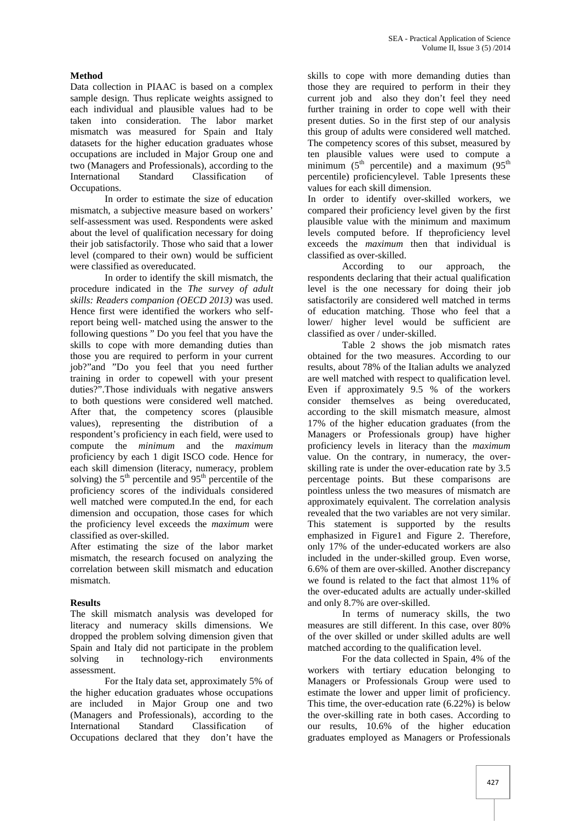# **Method**

Data collection in PIAAC is based on a complex sample design. Thus replicate weights assigned to each individual and plausible values had to be taken into consideration. The labor market mismatch was measured for Spain and Italy datasets for the higher education graduates whose occupations are included in Major Group one and two (Managers and Professionals), according to the<br>International Standard Classification of International Standard Classification of Occupations.

In order to estimate the size of education mismatch, a subjective measure based on workers' self-assessment was used. Respondents were asked about the level of qualification necessary for doing their job satisfactorily. Those who said that a lower level (compared to their own) would be sufficient were classified as overeducated.

In order to identify the skill mismatch, the procedure indicated in the *The survey of adult skills: Readers companion (OECD 2013)* was used. Hence first were identified the workers who selfreport being well- matched using the answer to the following questions " Do you feel that you have the skills to cope with more demanding duties than those you are required to perform in your current job?"and "Do you feel that you need further training in order to copewell with your present duties?".Those individuals with negative answers to both questions were considered well matched. After that, the competency scores (plausible values), representing the distribution of a respondent's proficiency in each field, were used to compute the *minimum* and the *maximum* proficiency by each 1 digit ISCO code. Hence for each skill dimension (literacy, numeracy, problem solving) the  $5<sup>th</sup>$  percentile and  $95<sup>th</sup>$  percentile of the proficiency scores of the individuals considered well matched were computed.In the end, for each dimension and occupation, those cases for which the proficiency level exceeds the *maximum* were classified as over-skilled.

After estimating the size of the labor market mismatch, the research focused on analyzing the correlation between skill mismatch and education mismatch.

# **Results**

The skill mismatch analysis was developed for literacy and numeracy skills dimensions. We dropped the problem solving dimension given that Spain and Italy did not participate in the problem solving in technology-rich environments assessment.

For the Italy data set, approximately 5% of the higher education graduates whose occupations are included in Major Group one and two (Managers and Professionals), according to the International Standard Classification of Occupations declared that they don't have the

skills to cope with more demanding duties than those they are required to perform in their they current job and also they don't feel they need further training in order to cope well with their present duties. So in the first step of our analysis this group of adults were considered well matched. The competency scores of this subset, measured by ten plausible values were used to compute a minimum ( $5<sup>th</sup>$  percentile) and a maximum ( $95<sup>th</sup>$ percentile) proficiencylevel. Table 1presents these values for each skill dimension.

In order to identify over-skilled workers, we compared their proficiency level given by the first plausible value with the minimum and maximum levels computed before. If theproficiency level exceeds the *maximum* then that individual is classified as over-skilled.

According to our approach, the respondents declaring that their actual qualification level is the one necessary for doing their job satisfactorily are considered well matched in terms of education matching. Those who feel that a lower/ higher level would be sufficient are classified as over / under-skilled.

Table 2 shows the job mismatch rates obtained for the two measures. According to our results, about 78% of the Italian adults we analyzed are well matched with respect to qualification level. Even if approximately 9.5 % of the workers consider themselves as being overeducated, according to the skill mismatch measure, almost 17% of the higher education graduates (from the Managers or Professionals group) have higher proficiency levels in literacy than the *maximum* value. On the contrary, in numeracy, the over skilling rate is under the over-education rate by 3.5 percentage points. But these comparisons are pointless unless the two measures of mismatch are approximately equivalent. The correlation analysis revealed that the two variables are not very similar. This statement is supported by the results emphasized in Figure1 and Figure 2. Therefore, only 17% of the under-educated workers are also included in the under-skilled group. Even worse, 6.6% of them are over-skilled. Another discrepancy we found is related to the fact that almost 11% of the over-educated adults are actually under-skilled and only 8.7% are over-skilled.

In terms of numeracy skills, the two measures are still different. In this case, over 80% of the over skilled or under skilled adults are well matched according to the qualification level.

For the data collected in Spain, 4% of the workers with tertiary education belonging to Managers or Professionals Group were used to estimate the lower and upper limit of proficiency. This time, the over-education rate (6.22%) is below the over-skilling rate in both cases. According to our results, 10.6% of the higher education graduates employed as Managers or Professionals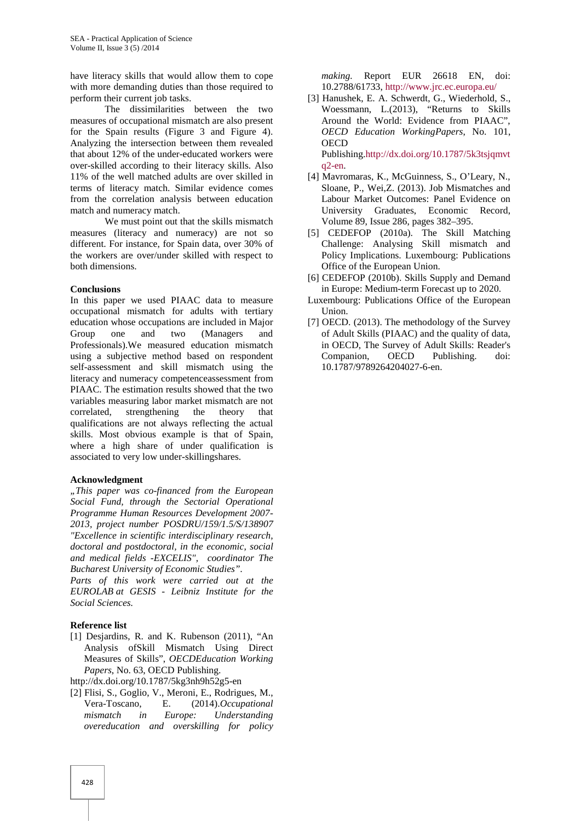have literacy skills that would allow them to cope with more demanding duties than those required to perform their current job tasks.

The dissimilarities between the two measures of occupational mismatch are also present for the Spain results (Figure 3 and Figure 4). Analyzing the intersection between them revealed that about 12% of the under-educated workers were over-skilled according to their literacy skills. Also 11% of the well matched adults are over skilled in terms of literacy match. Similar evidence comes from the correlation analysis between education match and numeracy match.

We must point out that the skills mismatch measures (literacy and numeracy) are not so different. For instance, for Spain data, over 30% of the workers are over/under skilled with respect to both dimensions.

#### **Conclusions**

In this paper we used PIAAC data to measure occupational mismatch for adults with tertiary education whose occupations are included in Major Group one and two (Managers and Professionals).We measured education mismatch using a subjective method based on respondent self-assessment and skill mismatch using the literacy and numeracy competenceassessment from PIAAC. The estimation results showed that the two variables measuring labor market mismatch are not correlated, strengthening the theory that qualifications are not always reflecting the actual skills. Most obvious example is that of Spain, where a high share of under qualification is associated to very low under-skillingshares.

#### **Acknowledgment**

*"This paper was co-financed from the European Social Fund, through the Sectorial Operational Programme Human Resources Development 2007- 2013, project number POSDRU/159/1.5/S/138907 "Excellence in scientific interdisciplinary research, doctoral and postdoctoral, in the economic, social and medical fields -EXCELIS", coordinator The Bucharest University of Economic Studies".*

*Parts of this work were carried out at the EUROLAB at GESIS - Leibniz Institute for the Social Sciences.*

#### **Reference list**

[1] Desjardins, R. and K. Rubenson (2011), "An Analysis ofSkill Mismatch Using Direct Measures of Skills", *OECDEducation Working Papers*, No. 63, OECD Publishing.

http://dx.doi.org/10.1787/5kg3nh9h52g5-en

[2] Flisi, S., Goglio, V., Meroni, E., Rodrigues, M., Vera-Toscano, E. (2014).*Occupational mismatch in Europe: Understanding overeducation and overskilling for policy*

*making.* Report EUR 26618 EN, doi: 10.2788/61733, http://www.jrc.ec.europa.eu/

[3] Hanushek, E. A. Schwerdt, G., Wiederhold, S., Woessmann, L.(2013), "Returns to Skills Around the World: Evidence from PIAAC", *OECD Education WorkingPapers*, No. 101, **OECD** 

Publishing.http://dx.doi.org/10.1787/5k3tsjqmvt q2-en.

- [4] Mavromaras, K., McGuinness, S., O'Leary, N., Sloane, P., Wei,Z. (2013). Job Mismatches and Labour Market Outcomes: Panel Evidence on University Graduates, Economic Record, Volume 89, Issue 286, pages 382–395.
- [5] CEDEFOP (2010a). The Skill Matching Challenge: Analysing Skill mismatch and Policy Implications. Luxembourg: Publications Office of the European Union.
- [6] CEDEFOP (2010b). Skills Supply and Demand in Europe: Medium-term Forecast up to 2020.
- Luxembourg: Publications Office of the European Union.
- [7] OECD. (2013). The methodology of the Survey of Adult Skills (PIAAC) and the quality of data, in OECD, The Survey of Adult Skills: Reader's Companion, OECD Publishing. doi: 10.1787/9789264204027-6-en.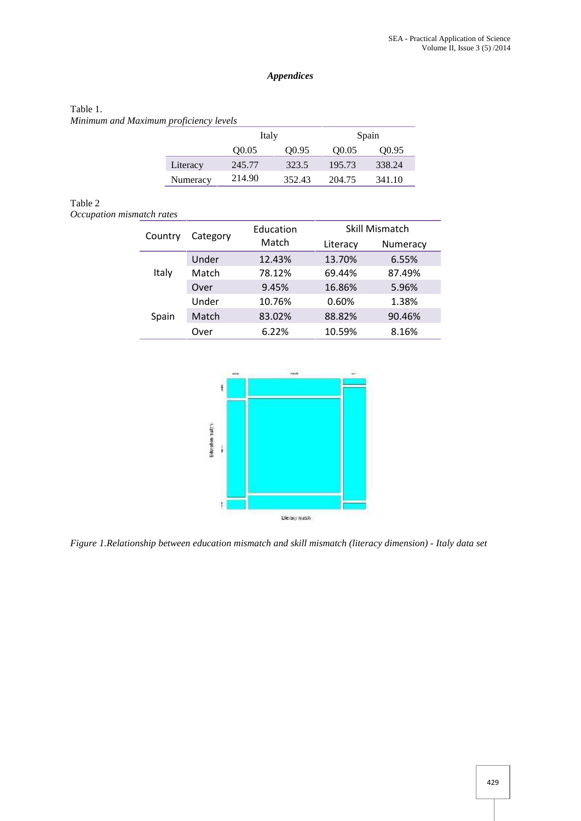# *Appendices*

## Table 1.

*Minimum and Maximum proficiency levels*

|          | Italy             |                   | Spain  |                   |
|----------|-------------------|-------------------|--------|-------------------|
|          | O <sub>0.05</sub> | O <sub>0.95</sub> | Q0.05  | O <sub>0.95</sub> |
| Literacy | 245.77            | 323.5             | 195.73 | 338.24            |
| Numeracy | 214.90            | 352.43            | 204.75 | 341.10            |

# Table 2

*Occupation mismatch rates*

| Country | Category | Education | Skill Mismatch |          |
|---------|----------|-----------|----------------|----------|
|         |          | Match     | Literacy       | Numeracy |
| Italy   | Under    | 12.43%    | 13.70%         | 6.55%    |
|         | Match    | 78.12%    | 69.44%         | 87.49%   |
|         | Over     | 9.45%     | 16.86%         | 5.96%    |
| Spain   | Under    | 10.76%    | 0.60%          | 1.38%    |
|         | Match    | 83.02%    | 88.82%         | 90.46%   |
|         | Over     | 6.22%     | 10.59%         | 8.16%    |



*Figure 1.Relationship between education mismatch and skill mismatch (literacy dimension) - Italy data set*